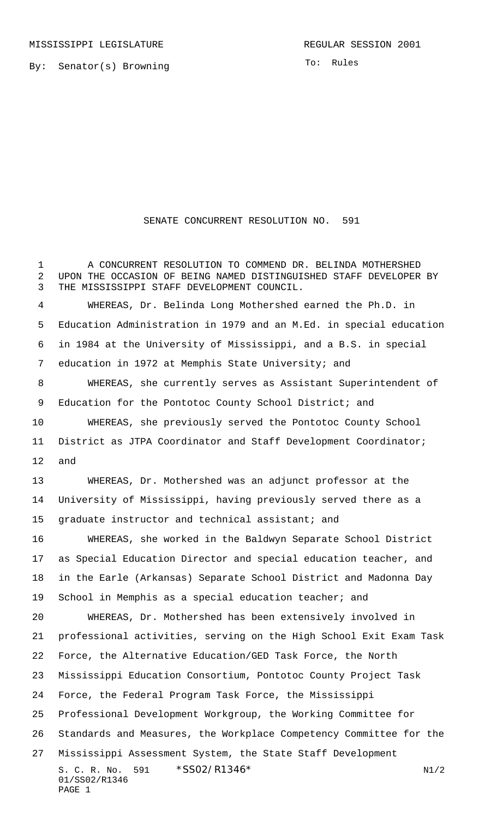By: Senator(s) Browning

To: Rules

## SENATE CONCURRENT RESOLUTION NO. 591

S. C. R. No. \*SS02/R1346\* N1/2 01/SS02/R1346 PAGE 1 A CONCURRENT RESOLUTION TO COMMEND DR. BELINDA MOTHERSHED UPON THE OCCASION OF BEING NAMED DISTINGUISHED STAFF DEVELOPER BY THE MISSISSIPPI STAFF DEVELOPMENT COUNCIL. WHEREAS, Dr. Belinda Long Mothershed earned the Ph.D. in Education Administration in 1979 and an M.Ed. in special education in 1984 at the University of Mississippi, and a B.S. in special education in 1972 at Memphis State University; and WHEREAS, she currently serves as Assistant Superintendent of 9 Education for the Pontotoc County School District; and WHEREAS, she previously served the Pontotoc County School District as JTPA Coordinator and Staff Development Coordinator; and WHEREAS, Dr. Mothershed was an adjunct professor at the University of Mississippi, having previously served there as a graduate instructor and technical assistant; and WHEREAS, she worked in the Baldwyn Separate School District as Special Education Director and special education teacher, and in the Earle (Arkansas) Separate School District and Madonna Day 19 School in Memphis as a special education teacher; and WHEREAS, Dr. Mothershed has been extensively involved in professional activities, serving on the High School Exit Exam Task Force, the Alternative Education/GED Task Force, the North Mississippi Education Consortium, Pontotoc County Project Task Force, the Federal Program Task Force, the Mississippi Professional Development Workgroup, the Working Committee for Standards and Measures, the Workplace Competency Committee for the Mississippi Assessment System, the State Staff Development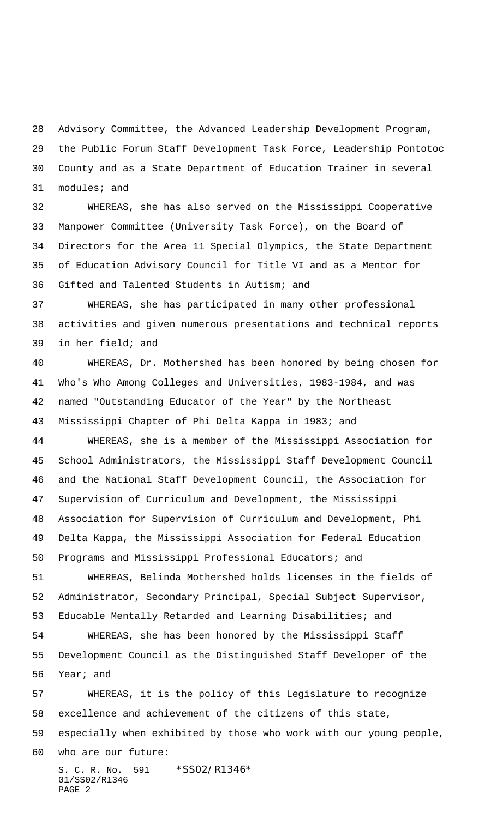Advisory Committee, the Advanced Leadership Development Program, the Public Forum Staff Development Task Force, Leadership Pontotoc County and as a State Department of Education Trainer in several modules; and

 WHEREAS, she has also served on the Mississippi Cooperative Manpower Committee (University Task Force), on the Board of Directors for the Area 11 Special Olympics, the State Department of Education Advisory Council for Title VI and as a Mentor for Gifted and Talented Students in Autism; and

 WHEREAS, she has participated in many other professional activities and given numerous presentations and technical reports in her field; and

 WHEREAS, Dr. Mothershed has been honored by being chosen for Who's Who Among Colleges and Universities, 1983-1984, and was named "Outstanding Educator of the Year" by the Northeast Mississippi Chapter of Phi Delta Kappa in 1983; and

 WHEREAS, she is a member of the Mississippi Association for School Administrators, the Mississippi Staff Development Council and the National Staff Development Council, the Association for Supervision of Curriculum and Development, the Mississippi Association for Supervision of Curriculum and Development, Phi Delta Kappa, the Mississippi Association for Federal Education Programs and Mississippi Professional Educators; and

 WHEREAS, Belinda Mothershed holds licenses in the fields of Administrator, Secondary Principal, Special Subject Supervisor, Educable Mentally Retarded and Learning Disabilities; and

 WHEREAS, she has been honored by the Mississippi Staff Development Council as the Distinguished Staff Developer of the Year; and

S. C. R. No. 591 \* SS02/R1346\* 01/SS02/R1346 WHEREAS, it is the policy of this Legislature to recognize excellence and achievement of the citizens of this state, especially when exhibited by those who work with our young people, who are our future:

PAGE 2